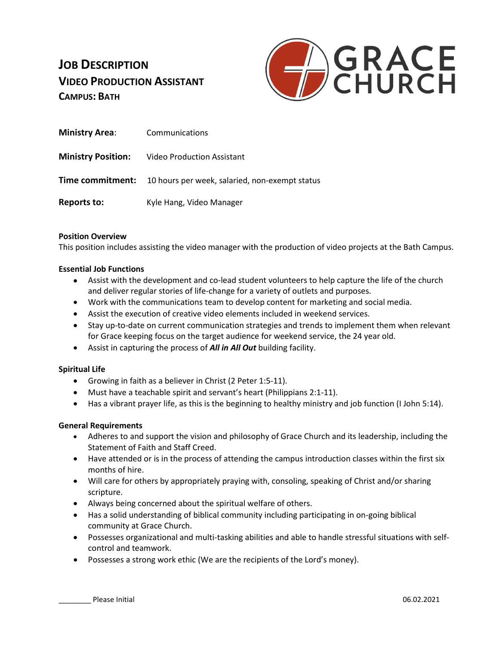# **JOB DESCRIPTION VIDEO PRODUCTION ASSISTANT CAMPUS: BATH**



| <b>Ministry Area:</b>     | Communications                                                         |
|---------------------------|------------------------------------------------------------------------|
| <b>Ministry Position:</b> | <b>Video Production Assistant</b>                                      |
|                           | <b>Time commitment:</b> 10 hours per week, salaried, non-exempt status |
| Reports to:               | Kyle Hang, Video Manager                                               |

### **Position Overview**

This position includes assisting the video manager with the production of video projects at the Bath Campus.

#### **Essential Job Functions**

- Assist with the development and co-lead student volunteers to help capture the life of the church and deliver regular stories of life-change for a variety of outlets and purposes.
- Work with the communications team to develop content for marketing and social media.
- Assist the execution of creative video elements included in weekend services.
- Stay up-to-date on current communication strategies and trends to implement them when relevant for Grace keeping focus on the target audience for weekend service, the 24 year old.
- Assist in capturing the process of *All in All Out* building facility.

### **Spiritual Life**

- Growing in faith as a believer in Christ (2 Peter 1:5-11).
- Must have a teachable spirit and servant's heart (Philippians 2:1-11).
- Has a vibrant prayer life, as this is the beginning to healthy ministry and job function (I John 5:14).

### **General Requirements**

- Adheres to and support the vision and philosophy of Grace Church and its leadership, including the Statement of Faith and Staff Creed.
- Have attended or is in the process of attending the campus introduction classes within the first six months of hire.
- Will care for others by appropriately praying with, consoling, speaking of Christ and/or sharing scripture.
- Always being concerned about the spiritual welfare of others.
- Has a solid understanding of biblical community including participating in on-going biblical community at Grace Church.
- Possesses organizational and multi-tasking abilities and able to handle stressful situations with selfcontrol and teamwork.
- Possesses a strong work ethic (We are the recipients of the Lord's money).